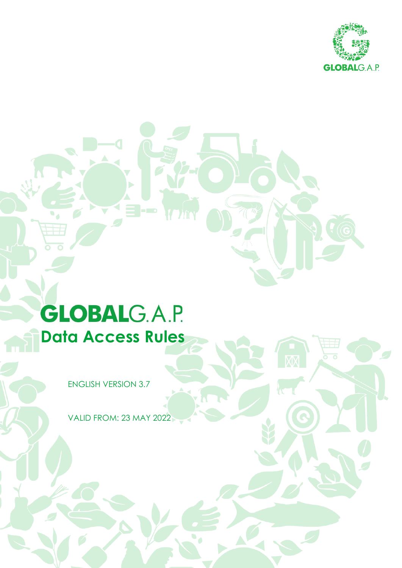

# **GLOBALG.A.P. Data Access Rules**

ENGLISH VERSION 3.7

VALID FROM: 23 MAY 2022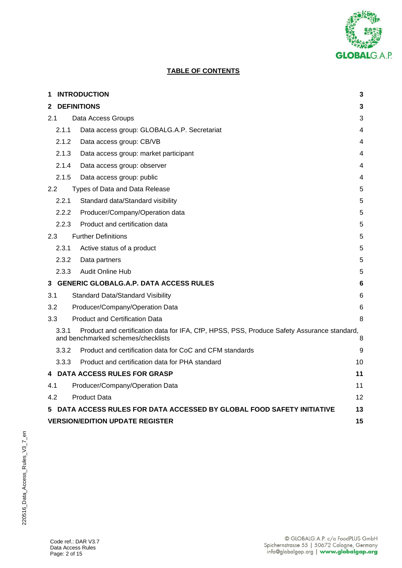

# **TABLE OF CONTENTS**

| 1            |                                              | <b>INTRODUCTION</b>                                                                                                              | 3  |  |  |
|--------------|----------------------------------------------|----------------------------------------------------------------------------------------------------------------------------------|----|--|--|
| $\mathbf{2}$ |                                              | <b>DEFINITIONS</b>                                                                                                               | 3  |  |  |
| 2.1          |                                              | Data Access Groups                                                                                                               | 3  |  |  |
|              | 2.1.1                                        | Data access group: GLOBALG.A.P. Secretariat                                                                                      | 4  |  |  |
|              | 2.1.2                                        | Data access group: CB/VB                                                                                                         | 4  |  |  |
|              | 2.1.3                                        | Data access group: market participant                                                                                            | 4  |  |  |
|              | 2.1.4                                        | Data access group: observer                                                                                                      | 4  |  |  |
|              | 2.1.5                                        | Data access group: public                                                                                                        | 4  |  |  |
| 2.2          |                                              | Types of Data and Data Release                                                                                                   | 5  |  |  |
|              | 2.2.1                                        | Standard data/Standard visibility                                                                                                | 5  |  |  |
|              | 2.2.2                                        | Producer/Company/Operation data                                                                                                  | 5  |  |  |
|              | 2.2.3                                        | Product and certification data                                                                                                   | 5  |  |  |
| 2.3          |                                              | <b>Further Definitions</b>                                                                                                       | 5  |  |  |
|              | 2.3.1                                        | Active status of a product                                                                                                       | 5  |  |  |
|              | 2.3.2                                        | Data partners                                                                                                                    | 5  |  |  |
|              | 2.3.3                                        | Audit Online Hub                                                                                                                 | 5  |  |  |
| 3            |                                              | <b>GENERIC GLOBALG.A.P. DATA ACCESS RULES</b>                                                                                    | 6  |  |  |
| 3.1          |                                              | <b>Standard Data/Standard Visibility</b>                                                                                         | 6  |  |  |
| 3.2          |                                              | Producer/Company/Operation Data                                                                                                  | 6  |  |  |
| 3.3          |                                              | <b>Product and Certification Data</b>                                                                                            | 8  |  |  |
|              | 3.3.1                                        | Product and certification data for IFA, CfP, HPSS, PSS, Produce Safety Assurance standard,<br>and benchmarked schemes/checklists | 8  |  |  |
|              | 3.3.2                                        | Product and certification data for CoC and CFM standards                                                                         | 9  |  |  |
|              | 3.3.3                                        | Product and certification data for PHA standard                                                                                  | 10 |  |  |
|              |                                              | 4 DATA ACCESS RULES FOR GRASP                                                                                                    | 11 |  |  |
| 4.1          |                                              | Producer/Company/Operation Data                                                                                                  | 11 |  |  |
| 4.2          |                                              | <b>Product Data</b>                                                                                                              | 12 |  |  |
| 5            |                                              | DATA ACCESS RULES FOR DATA ACCESSED BY GLOBAL FOOD SAFETY INITIATIVE                                                             | 13 |  |  |
|              | <b>VERSION/EDITION UPDATE REGISTER</b><br>15 |                                                                                                                                  |    |  |  |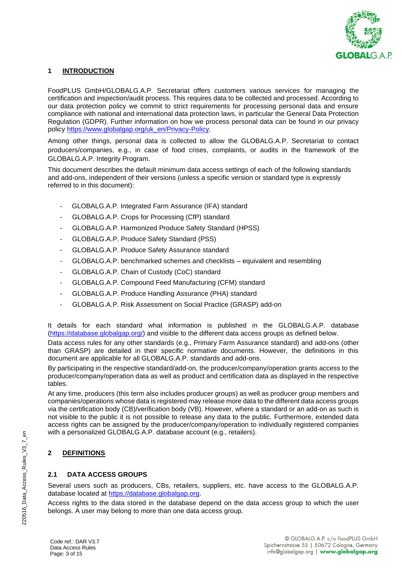

## **1 INTRODUCTION**

FoodPLUS GmbH/GLOBALG.A.P. Secretariat offers customers various services for managing the certification and inspection/audit process. This requires data to be collected and processed. According to our data protection policy we commit to strict requirements for processing personal data and ensure compliance with national and international data protection laws, in particular the General Data Protection Regulation (GDPR). Further information on how we process personal data can be found in our privacy policy [https://www.globalgap.org/uk\\_en/Privacy-Policy.](https://www.globalgap.org/uk_en/Privacy-Policy)

Among other things, personal data is collected to allow the GLOBALG.A.P. Secretariat to contact producers/companies, e.g., in case of food crises, complaints, or audits in the framework of the GLOBALG.A.P. Integrity Program.

This document describes the default minimum data access settings of each of the following standards and add-ons, independent of their versions (unless a specific version or standard type is expressly referred to in this document):

- GLOBALG.A.P. Integrated Farm Assurance (IFA) standard
- GLOBALG.A.P. Crops for Processing (CfP) standard
- GLOBALG.A.P. Harmonized Produce Safety Standard (HPSS)
- GLOBALG.A.P. Produce Safety Standard (PSS)
- GLOBALG.A.P. Produce Safety Assurance standard
- GLOBALG.A.P. benchmarked schemes and checklists equivalent and resembling
- GLOBALG.A.P. Chain of Custody (CoC) standard
- GLOBALG.A.P. Compound Feed Manufacturing (CFM) standard
- GLOBALG.A.P. Produce Handling Assurance (PHA) standard
- GLOBALG.A.P. Risk Assessment on Social Practice (GRASP) add-on

It details for each standard what information is published in the GLOBALG.A.P. database [\(https://database.globalgap.org/\)](https://database.globalgap.org/) and visible to the different data access groups as defined below.

Data access rules for any other standards (e.g., Primary Farm Assurance standard) and add-ons (other than GRASP) are detailed in their specific normative documents. However, the definitions in this document are applicable for all GLOBALG.A.P. standards and add-ons.

By participating in the respective standard/add-on, the producer/company/operation grants access to the producer/company/operation data as well as product and certification data as displayed in the respective tables.

At any time, producers (this term also includes producer groups) as well as producer group members and companies/operations whose data is registered may release more data to the different data access groups via the certification body (CB)/verification body (VB). However, where a standard or an add-on as such is not visible to the public it is not possible to release any data to the public. Furthermore, extended data access rights can be assigned by the producer/company/operation to individually registered companies with a personalized GLOBALG.A.P. database account (e.g., retailers).

## **2 DEFINITIONS**

## **2.1 DATA ACCESS GROUPS**

Several users such as producers, CBs, retailers, suppliers, etc. have access to the GLOBALG.A.P. database located at [https://database.globalgap.org.](https://database.globalgap.org/)

Access rights to the data stored in the database depend on the data access group to which the user belongs. A user may belong to more than one data access group.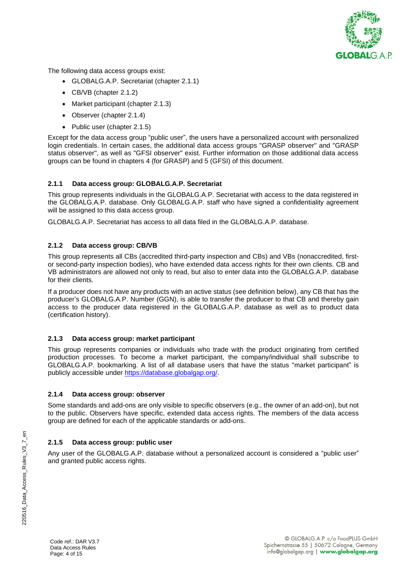

The following data access groups exist:

- GLOBALG.A.P. Secretariat (chapter 2.1.1)
- CB/VB (chapter 2.1.2)
- Market participant (chapter 2.1.3)
- Observer (chapter 2.1.4)
- Public user (chapter 2.1.5)

Except for the data access group "public user", the users have a personalized account with personalized login credentials. In certain cases, the additional data access groups "GRASP observer" and "GRASP status observer", as well as "GFSI observer" exist. Further information on those additional data access groups can be found in chapters 4 (for GRASP) and 5 (GFSI) of this document.

## **2.1.1 Data access group: GLOBALG.A.P. Secretariat**

This group represents individuals in the GLOBALG.A.P. Secretariat with access to the data registered in the GLOBALG.A.P. database. Only GLOBALG.A.P. staff who have signed a confidentiality agreement will be assigned to this data access group.

GLOBALG.A.P. Secretariat has access to all data filed in the GLOBALG.A.P. database.

## **2.1.2 Data access group: CB/VB**

This group represents all CBs (accredited third-party inspection and CBs) and VBs (nonaccredited, firstor second-party inspection bodies), who have extended data access rights for their own clients. CB and VB administrators are allowed not only to read, but also to enter data into the GLOBALG.A.P. database for their clients.

If a producer does not have any products with an active status (see definition below), any CB that has the producer's GLOBALG.A.P. Number (GGN), is able to transfer the producer to that CB and thereby gain access to the producer data registered in the GLOBALG.A.P. database as well as to product data (certification history).

#### **2.1.3 Data access group: market participant**

This group represents companies or individuals who trade with the product originating from certified production processes. To become a market participant, the company/individual shall subscribe to GLOBALG.A.P. bookmarking. A list of all database users that have the status "market participant" is publicly accessible under [https://database.globalgap.org/.](https://database.globalgap.org/)

#### **2.1.4 Data access group: observer**

Some standards and add-ons are only visible to specific observers (e.g., the owner of an add-on), but not to the public. Observers have specific, extended data access rights. The members of the data access group are defined for each of the applicable standards or add-ons.

## **2.1.5 Data access group: public user**

Any user of the GLOBALG.A.P. database without a personalized account is considered a "public user" and granted public access rights.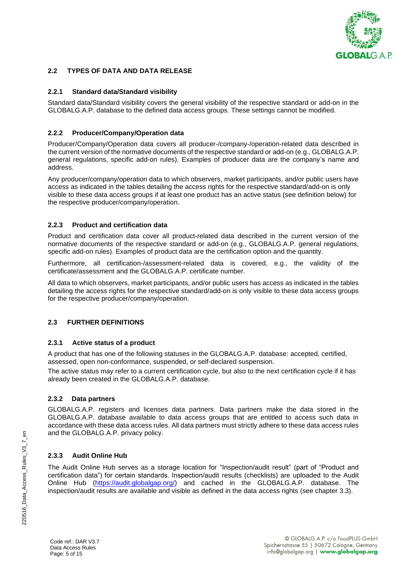

## **2.2 TYPES OF DATA AND DATA RELEASE**

## **2.2.1 Standard data/Standard visibility**

Standard data/Standard visibility covers the general visibility of the respective standard or add-on in the GLOBALG.A.P. database to the defined data access groups. These settings cannot be modified.

## **2.2.2 Producer/Company/Operation data**

Producer/Company/Operation data covers all producer-/company-/operation-related data described in the current version of the normative documents of the respective standard or add-on (e.g., GLOBALG.A.P. general regulations, specific add-on rules). Examples of producer data are the company's name and address.

Any producer/company/operation data to which observers, market participants, and/or public users have access as indicated in the tables detailing the access rights for the respective standard/add-on is only visible to these data access groups if at least one product has an active status (see definition below) for the respective producer/company/operation.

## **2.2.3 Product and certification data**

Product and certification data cover all product-related data described in the current version of the normative documents of the respective standard or add-on (e.g., GLOBALG.A.P. general regulations, specific add-on rules). Examples of product data are the certification option and the quantity.

Furthermore, all certification-/assessment-related data is covered, e.g., the validity of the certificate/assessment and the GLOBALG A.P. certificate number.

All data to which observers, market participants, and/or public users has access as indicated in the tables detailing the access rights for the respective standard/add-on is only visible to these data access groups for the respective producer/company/operation.

## **2.3 FURTHER DEFINITIONS**

## **2.3.1 Active status of a product**

A product that has one of the following statuses in the GLOBALG.A.P. database: accepted, certified, assessed, open non-conformance, suspended, or self-declared suspension.

The active status may refer to a current certification cycle, but also to the next certification cycle if it has already been created in the GLOBALG.A.P. database.

## **2.3.2 Data partners**

GLOBALG.A.P. registers and licenses data partners. Data partners make the data stored in the GLOBALG.A.P. database available to data access groups that are entitled to access such data in accordance with these data access rules. All data partners must strictly adhere to these data access rules and the GLOBALG.A.P. privacy policy.

## **2.3.3 Audit Online Hub**

The Audit Online Hub serves as a storage location for "Inspection/audit result" (part of "Product and certification data") for certain standards. Inspection/audit results (checklists) are uploaded to the Audit Online Hub [\(https://audit.globalgap.org/\)](https://audit.globalgap.org/) and cached in the GLOBALG.A.P. database. The inspection/audit results are available and visible as defined in the data access rights (see chapter 3.3).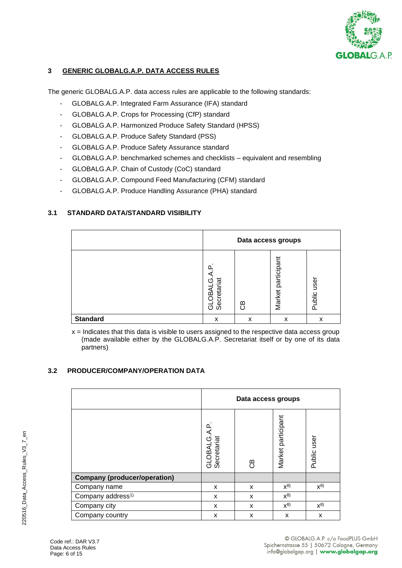

## **3 GENERIC GLOBALG.A.P. DATA ACCESS RULES**

The generic GLOBALG.A.P. data access rules are applicable to the following standards:

- GLOBALG.A.P. Integrated Farm Assurance (IFA) standard
- GLOBALG.A.P. Crops for Processing (CfP) standard
- GLOBALG.A.P. Harmonized Produce Safety Standard (HPSS)
- GLOBALG.A.P. Produce Safety Standard (PSS)
- GLOBALG.A.P. Produce Safety Assurance standard
- GLOBALG.A.P. benchmarked schemes and checklists equivalent and resembling
- GLOBALG.A.P. Chain of Custody (CoC) standard
- GLOBALG.A.P. Compound Feed Manufacturing (CFM) standard
- GLOBALG.A.P. Produce Handling Assurance (PHA) standard

## **3.1 STANDARD DATA/STANDARD VISIBILITY**

|                 | Data access groups                                 |    |                       |                |  |
|-----------------|----------------------------------------------------|----|-----------------------|----------------|--|
|                 | $\Omega$<br>а<br>Secretariat<br>٢η<br>⋖<br>ஜி<br>ಕ | සී | participant<br>Market | user<br>Public |  |
| <b>Standard</b> | x                                                  | x  | x                     | x              |  |

 $x =$  Indicates that this data is visible to users assigned to the respective data access group (made available either by the GLOBALG.A.P. Secretariat itself or by one of its data partners)

## **3.2 PRODUCER/COMPANY/OPERATION DATA**

|                                     | Data access groups         |    |                    |             |  |  |
|-------------------------------------|----------------------------|----|--------------------|-------------|--|--|
|                                     | GLOBALG.A.P<br>Secretariat | සී | Market participant | Public user |  |  |
| <b>Company (producer/operation)</b> |                            |    |                    |             |  |  |
| Company name                        | X                          | X  | $X^{8}$            | $X^{8}$     |  |  |
| Company address <sup>1)</sup>       | X                          | X  | $x^{8}$            |             |  |  |
| Company city                        | X                          | X  | $X^{8}$            | $x^{8}$     |  |  |
| Company country                     | X                          | X  | X                  | X           |  |  |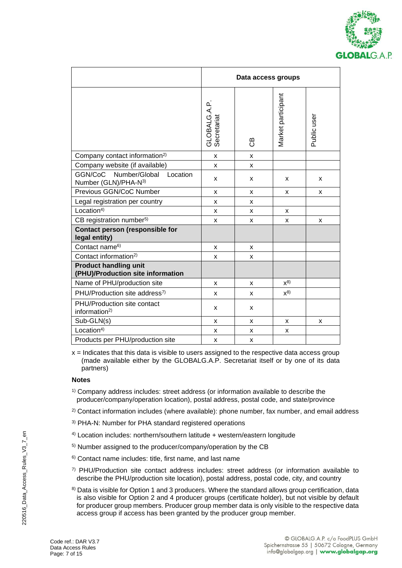

|                                                                   | Data access groups          |    |                    |             |  |
|-------------------------------------------------------------------|-----------------------------|----|--------------------|-------------|--|
|                                                                   | GLOBALG.A.P.<br>Secretariat | සී | Market participant | Public user |  |
| Company contact information <sup>2)</sup>                         | X                           | x  |                    |             |  |
| Company website (if available)                                    | x                           | x  |                    |             |  |
| GGN/CoC<br>Number/Global<br>Location<br>Number (GLN)/PHA-N3)      | x                           | x  | X                  | X           |  |
| Previous GGN/CoC Number                                           | X                           | X  | X                  | X           |  |
| Legal registration per country                                    | x                           | x  |                    |             |  |
| Location <sup>4</sup>                                             | x                           | x  | X                  |             |  |
| CB registration number <sup>5)</sup>                              | x                           | x  | X                  | x           |  |
| <b>Contact person (responsible for</b><br>legal entity)           |                             |    |                    |             |  |
| Contact name <sup>6)</sup>                                        | x                           | x  |                    |             |  |
| Contact information <sup>2)</sup>                                 | x                           | x  |                    |             |  |
| <b>Product handling unit</b><br>(PHU)/Production site information |                             |    |                    |             |  |
| Name of PHU/production site                                       | x                           | x  | $x^{8}$            |             |  |
| PHU/Production site address <sup>7)</sup>                         | x                           | x  | $x^{8}$            |             |  |
| PHU/Production site contact<br>information <sup>2)</sup>          | x                           | x  |                    |             |  |
| Sub-GLN(s)                                                        | x                           | x  | x                  | x           |  |
| Location <sup>4</sup>                                             | x                           | x  | X                  |             |  |
| Products per PHU/production site                                  | x                           | x  |                    |             |  |

 $x =$  Indicates that this data is visible to users assigned to the respective data access group (made available either by the GLOBALG.A.P. Secretariat itself or by one of its data partners)

## **Notes**

- 1) Company address includes: street address (or information available to describe the producer/company/operation location), postal address, postal code, and state/province
- $2)$  Contact information includes (where available): phone number, fax number, and email address
- 3) PHA-N: Number for PHA standard registered operations
- 4) Location includes: northern/southern latitude + western/eastern longitude
- 5) Number assigned to the producer/company/operation by the CB
- 6) Contact name includes: title, first name, and last name
- $7)$  PHU/Production site contact address includes: street address (or information available to describe the PHU/production site location), postal address, postal code, city, and country
- 8) Data is visible for Option 1 and 3 producers. Where the standard allows group certification, data is also visible for Option 2 and 4 producer groups (certificate holder), but not visible by default for producer group members. Producer group member data is only visible to the respective data access group if access has been granted by the producer group member.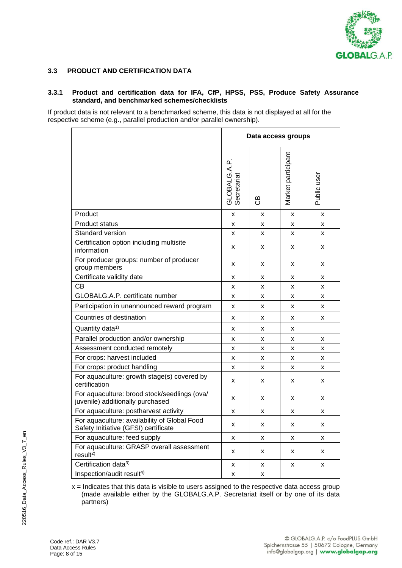

## **3.3 PRODUCT AND CERTIFICATION DATA**

#### **3.3.1 Product and certification data for IFA, CfP, HPSS, PSS, Produce Safety Assurance standard, and benchmarked schemes/checklists**

If product data is not relevant to a benchmarked scheme, this data is not displayed at all for the respective scheme (e.g., parallel production and/or parallel ownership).

|                                                                                      | Data access groups          |         |                    |             |
|--------------------------------------------------------------------------------------|-----------------------------|---------|--------------------|-------------|
|                                                                                      | GLOBALG.A.P.<br>Secretariat | යි<br>උ | Market participant | Public user |
| Product                                                                              | x                           | X       | X                  | X           |
| <b>Product status</b>                                                                | X                           | X       | X                  | x           |
| Standard version                                                                     | X                           | x       | X                  | X           |
| Certification option including multisite<br>information                              | X                           | x       | x                  | X           |
| For producer groups: number of producer<br>group members                             | x                           | x       | x                  | x           |
| Certificate validity date                                                            | x                           | x       | x                  | X           |
| CB                                                                                   | x                           | x       | x                  | X           |
| GLOBALG.A.P. certificate number                                                      | x                           | x       | x                  | X           |
| Participation in unannounced reward program                                          | x                           | X       | x                  | X           |
| Countries of destination                                                             | x                           | x       | x                  | X           |
| Quantity data <sup>1)</sup>                                                          | x                           | x       | x                  |             |
| Parallel production and/or ownership                                                 | x                           | x       | x                  | х           |
| Assessment conducted remotely                                                        | x                           | x       | x                  | X           |
| For crops: harvest included                                                          | x                           | x       | x                  | x           |
| For crops: product handling                                                          | x                           | x       | x                  | X           |
| For aquaculture: growth stage(s) covered by<br>certification                         | x                           | x       | x                  | X           |
| For aquaculture: brood stock/seedlings (ova/<br>juvenile) additionally purchased     | x                           | x       | x                  | X           |
| For aquaculture: postharvest activity                                                | x                           | x       | x                  | X           |
| For aquaculture: availability of Global Food<br>Safety Initiative (GFSI) certificate | x                           | x       | x                  | x           |
| For aquaculture: feed supply                                                         | x                           | x       | x                  | x           |
| For aquaculture: GRASP overall assessment<br>result <sup>2</sup>                     | x                           | x       | x                  | x           |
| Certification data <sup>3)</sup>                                                     | x                           | x       | x                  | X           |
| Inspection/audit result <sup>4)</sup>                                                | x                           | x       |                    |             |

 $x =$  Indicates that this data is visible to users assigned to the respective data access group (made available either by the GLOBALG.A.P. Secretariat itself or by one of its data partners)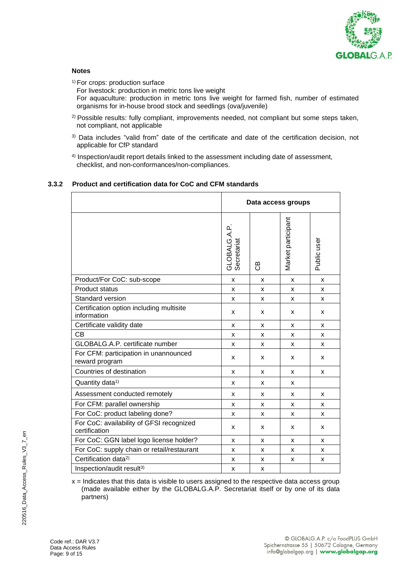

## **Notes**

<sup>1)</sup> For crops: production surface For livestock: production in metric tons live weight For aquaculture: production in metric tons live weight for farmed fish, number of estimated organisms for in-house brood stock and seedlings (ova/juvenile)

- <sup>2)</sup> Possible results: fully compliant, improvements needed, not compliant but some steps taken, not compliant, not applicable
- <sup>3)</sup> Data includes "valid from" date of the certificate and date of the certification decision, not applicable for CfP standard
- 4) Inspection/audit report details linked to the assessment including date of assessment, checklist, and non-conformances/non-compliances.

## **3.3.2 Product and certification data for CoC and CFM standards**

|                                                           |                             | Data access groups |                    |             |  |
|-----------------------------------------------------------|-----------------------------|--------------------|--------------------|-------------|--|
|                                                           | GLOBALG.A.P.<br>Secretariat | පි                 | Market participant | Public user |  |
| Product/For CoC: sub-scope                                | X                           | X                  | X                  | X           |  |
| <b>Product status</b>                                     | X                           | x                  | X                  | x           |  |
| Standard version                                          | X                           | x                  | X                  | X           |  |
| Certification option including multisite<br>information   | X                           | x                  | x                  | x           |  |
| Certificate validity date                                 | X                           | X                  | X                  | X           |  |
| <b>CB</b>                                                 | X                           | x                  | X                  | x           |  |
| GLOBALG.A.P. certificate number                           | X                           | x                  | X                  | X           |  |
| For CFM: participation in unannounced<br>reward program   | X                           | X                  | x                  | x           |  |
| Countries of destination                                  | X                           | x                  | X                  | X           |  |
| Quantity data <sup>1)</sup>                               | X                           | x                  | X                  |             |  |
| Assessment conducted remotely                             | X                           | x                  | x                  | x           |  |
| For CFM: parallel ownership                               | X                           | X                  | X                  | X           |  |
| For CoC: product labeling done?                           | X                           | x                  | x                  | x           |  |
| For CoC: availability of GFSI recognized<br>certification | X                           | x                  | x                  | x           |  |
| For CoC: GGN label logo license holder?                   | X                           | X                  | X                  | x           |  |
| For CoC: supply chain or retail/restaurant                | X                           | X                  | X                  | x           |  |
| Certification data <sup>2)</sup>                          | X                           | x                  | X                  | x           |  |
| Inspection/audit result <sup>3)</sup>                     | X                           | X                  |                    |             |  |

 $x =$  Indicates that this data is visible to users assigned to the respective data access group (made available either by the GLOBALG.A.P. Secretariat itself or by one of its data partners)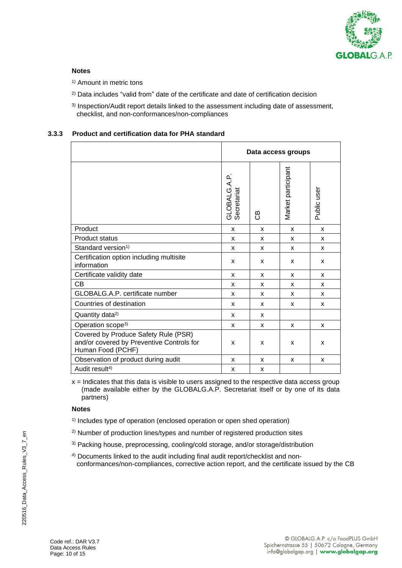

## **Notes**

<sup>1)</sup> Amount in metric tons

- <sup>2)</sup> Data includes "valid from" date of the certificate and date of certification decision
- 3) Inspection/Audit report details linked to the assessment including date of assessment, checklist, and non-conformances/non-compliances

## **3.3.3 Product and certification data for PHA standard**

|                                                                                                        | Data access groups          |    |                    |             |
|--------------------------------------------------------------------------------------------------------|-----------------------------|----|--------------------|-------------|
|                                                                                                        | GLOBALG.A.P.<br>Secretariat | පී | Market participant | Public user |
| Product                                                                                                | X                           | X  | X                  | X           |
| <b>Product status</b>                                                                                  | X                           | X  | X                  | X           |
| Standard version <sup>1)</sup>                                                                         | X                           | X  | X                  | X           |
| Certification option including multisite<br>information                                                | X                           | X  | X                  | X           |
| Certificate validity date                                                                              | X                           | X  | X                  | X           |
| CВ                                                                                                     | X                           | X  | X                  | X           |
| GLOBALG.A.P. certificate number                                                                        | x                           | x  | x                  | x           |
| Countries of destination                                                                               | X                           | X  | X                  | X           |
| Quantity data <sup>2)</sup>                                                                            | X                           | X  |                    |             |
| Operation scope <sup>3)</sup>                                                                          | X                           | X  | X                  | x           |
| Covered by Produce Safety Rule (PSR)<br>and/or covered by Preventive Controls for<br>Human Food (PCHF) | X                           | X  | X                  | X           |
| Observation of product during audit                                                                    | X                           | X  | X                  | X           |
| Audit result <sup>4)</sup>                                                                             | X                           | X  |                    |             |

 $x =$  Indicates that this data is visible to users assigned to the respective data access group (made available either by the GLOBALG.A.P. Secretariat itself or by one of its data partners)

#### **Notes**

- 1) Includes type of operation (enclosed operation or open shed operation)
- 2) Number of production lines/types and number of registered production sites
- 3) Packing house, preprocessing, cooling/cold storage, and/or storage/distribution
- 4) Documents linked to the audit including final audit report/checklist and nonconformances/non-compliances, corrective action report, and the certificate issued by the CB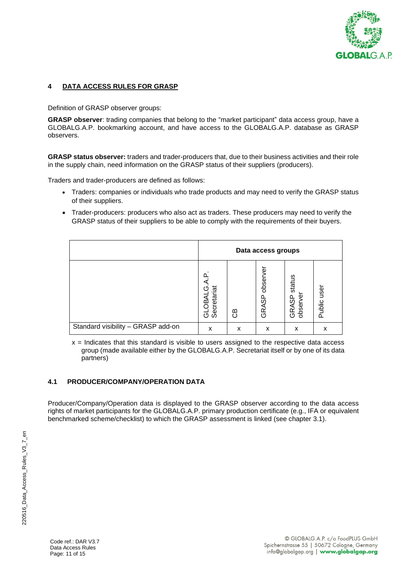

## **4 DATA ACCESS RULES FOR GRASP**

Definition of GRASP observer groups:

**GRASP observer**: trading companies that belong to the "market participant" data access group, have a GLOBALG.A.P. bookmarking account, and have access to the GLOBALG.A.P. database as GRASP observers.

**GRASP status observer:** traders and trader-producers that, due to their business activities and their role in the supply chain, need information on the GRASP status of their suppliers (producers).

Traders and trader-producers are defined as follows:

- Traders: companies or individuals who trade products and may need to verify the GRASP status of their suppliers.
- Trader-producers: producers who also act as traders. These producers may need to verify the GRASP status of their suppliers to be able to comply with the requirements of their buyers.

|                                    | Data access groups         |                 |                      |                                         |                |
|------------------------------------|----------------------------|-----------------|----------------------|-----------------------------------------|----------------|
|                                    | ٢ŋ<br>Secretariat<br>GLOBA | മ<br>$\epsilon$ | őδ<br>obser<br>GRASP | status<br>observe<br><b>RASP</b><br>(5) | user<br>Public |
| Standard visibility - GRASP add-on | x                          | x               | x                    | x                                       | x              |

 $x =$  Indicates that this standard is visible to users assigned to the respective data access group (made available either by the GLOBALG.A.P. Secretariat itself or by one of its data partners)

## **4.1 PRODUCER/COMPANY/OPERATION DATA**

Producer/Company/Operation data is displayed to the GRASP observer according to the data access rights of market participants for the GLOBALG.A.P. primary production certificate (e.g., IFA or equivalent benchmarked scheme/checklist) to which the GRASP assessment is linked (see chapter 3.1).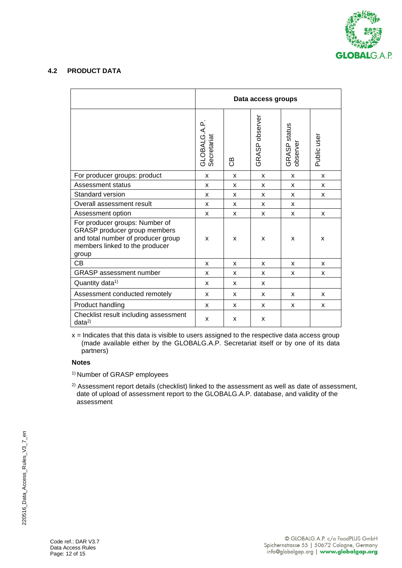

## **4.2 PRODUCT DATA**

|                                                                                                                                                 | Data access groups          |    |                |                          |             |
|-------------------------------------------------------------------------------------------------------------------------------------------------|-----------------------------|----|----------------|--------------------------|-------------|
|                                                                                                                                                 | GLOBALG.A.P.<br>Secretariat | පි | GRASP observer | GRASP status<br>observer | Public user |
| For producer groups: product                                                                                                                    | X                           | X  | X              | X                        | X           |
| Assessment status                                                                                                                               | X                           | X  | X              | X                        | X           |
| Standard version                                                                                                                                | X                           | X  | X              | X                        | X           |
| Overall assessment result                                                                                                                       | X                           | X  | X              | X                        |             |
| Assessment option                                                                                                                               | $\mathsf{x}$                | X  | X              | X                        | X           |
| For producer groups: Number of<br>GRASP producer group members<br>and total number of producer group<br>members linked to the producer<br>group | X                           | X  | X              | X                        | X           |
| <b>CB</b>                                                                                                                                       | X                           | X  | X              | X                        | X           |
| <b>GRASP</b> assessment number                                                                                                                  | X                           | X  | X              | x                        | X           |
| Quantity data <sup>1)</sup>                                                                                                                     | X                           | X  | X              |                          |             |
| Assessment conducted remotely                                                                                                                   | X                           | X  | X              | X                        | X           |
| Product handling                                                                                                                                | X                           | X  | X              | X                        | X           |
| Checklist result including assessment<br>data <sup>2</sup>                                                                                      | X                           | x  | X              |                          |             |

 $x =$  Indicates that this data is visible to users assigned to the respective data access group (made available either by the GLOBALG.A.P. Secretariat itself or by one of its data partners)

## **Notes**

1) Number of GRASP employees

<sup>2)</sup> Assessment report details (checklist) linked to the assessment as well as date of assessment, date of upload of assessment report to the GLOBALG.A.P. database, and validity of the assessment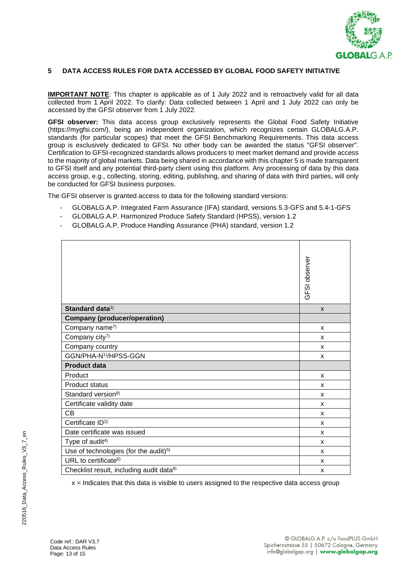

#### **5 DATA ACCESS RULES FOR DATA ACCESSED BY GLOBAL FOOD SAFETY INITIATIVE**

**IMPORTANT NOTE**: This chapter is applicable as of 1 July 2022 and is retroactively valid for all data collected from 1 April 2022. To clarify: Data collected between 1 April and 1 July 2022 can only be accessed by the GFSI observer from 1 July 2022.

**GFSI observer:** This data access group exclusively represents the Global Food Safety Initiative (https://mygfsi.com/), being an independent organization, which recognizes certain GLOBALG.A.P. standards (for particular scopes) that meet the GFSI Benchmarking Requirements. This data access group is exclusively dedicated to GFSI. No other body can be awarded the status "GFSI observer". Certification to GFSI-recognized standards allows producers to meet market demand and provide access to the majority of global markets. Data being shared in accordance with this chapter 5 is made transparent to GFSI itself and any potential third-party client using this platform. Any processing of data by this data access group, e.g., collecting, storing, editing, publishing, and sharing of data with third parties, will only be conducted for GFSI business purposes.

The GFSI observer is granted access to data for the following standard versions:

- GLOBALG.A.P. Integrated Farm Assurance (IFA) standard, versions 5.3-GFS and 5.4-1-GFS
- GLOBALG.A.P. Harmonized Produce Safety Standard (HPSS), version 1.2
- GLOBALG.A.P. Produce Handling Assurance (PHA) standard, version 1.2

|                                                      | GFSI observer |
|------------------------------------------------------|---------------|
| Standard data <sup>3)</sup>                          | $\mathsf{x}$  |
| <b>Company (producer/operation)</b>                  |               |
| Company name7)                                       | X             |
| Company city <sup>7)</sup>                           | X             |
| Company country                                      | X             |
| GGN/PHA-N <sup>1)</sup> /HPSS-GGN                    | X             |
| <b>Product data</b>                                  |               |
| Product                                              | X             |
| <b>Product status</b>                                | X             |
| Standard version <sup>8)</sup>                       | X             |
| Certificate validity date                            | X             |
| <b>CB</b>                                            | X             |
| Certificate ID <sup>2)</sup>                         | X             |
| Date certificate was issued                          | X             |
| Type of audit <sup>4)</sup>                          | X             |
| Use of technologies (for the audit) <sup>5)</sup>    | X             |
| URL to certificate <sup>6)</sup>                     | X             |
| Checklist result, including audit data <sup>9)</sup> | X             |

 $x =$  Indicates that this data is visible to users assigned to the respective data access group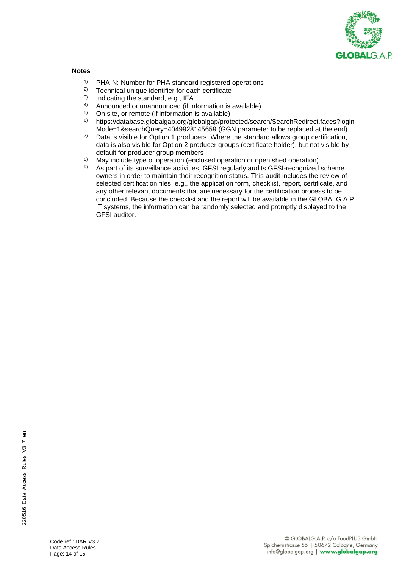

#### **Notes**

- <sup>1)</sup> PHA-N: Number for PHA standard registered operations<br><sup>2)</sup> Technical unique identifier for each certificate
- <sup>2)</sup> Technical unique identifier for each certificate<br><sup>3)</sup> Indicating the standard e.g. IFA
- 3) Indicating the standard, e.g., IFA<br> $\frac{41}{2}$  Announced or unannounced (if in
- 4) Announced or unannounced (if information is available)
- <sup>5)</sup> On site, or remote (if information is available)<br><sup>6)</sup> https://database.globalgap.org/globalgap/prot
- 6) [https://database.globalgap.org/globalgap/protected/search/SearchRedirect.faces?login](https://database.globalgap.org/globalgap/protected/search/SearchRedirect.faces?loginMode=1&searchQuery=4049928145659) [Mode=1&searchQuery=4049928145659](https://database.globalgap.org/globalgap/protected/search/SearchRedirect.faces?loginMode=1&searchQuery=4049928145659) (GGN parameter to be replaced at the end)
- $7)$  Data is visible for Option 1 producers. Where the standard allows group certification, data is also visible for Option 2 producer groups (certificate holder), but not visible by default for producer group members
- 8) May include type of operation (enclosed operation or open shed operation)
- As part of its surveillance activities, GFSI regularly audits GFSI-recognized scheme owners in order to maintain their recognition status. This audit includes the review of selected certification files, e.g., the application form, checklist, report, certificate, and any other relevant documents that are necessary for the certification process to be concluded. Because the checklist and the report will be available in the GLOBALG.A.P. IT systems, the information can be randomly selected and promptly displayed to the GFSI auditor.